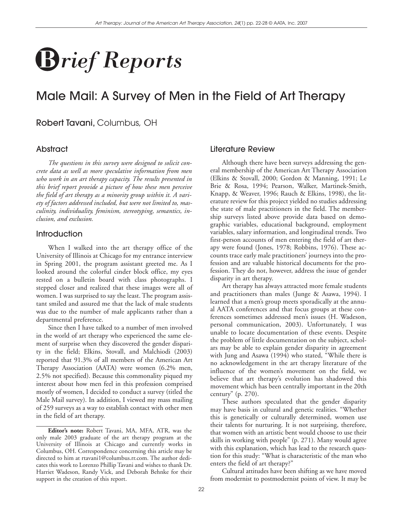# **B** *rief Reports*

# Male Mail: A Survey of Men in the Field of Art Therapy

# Robert Tavani, Columbus, OH

# **Abstract**

*The questions in this survey were designed to solicit concrete data as well as more speculative information from men who work in an art therapy capacity. The results presented in this brief report provide a picture of how these men perceive the field of art therapy as a minority group within it. A variety of factors addressed included, but were not limited to, masculinity, individuality, feminism, stereotyping, semantics, inclusion, and exclusion.*

# **Introduction**

When I walked into the art therapy office of the University of Illinois at Chicago for my entrance interview in Spring 2001, the program assistant greeted me. As I looked around the colorful cinder block office, my eyes rested on a bulletin board with class photographs. I stepped closer and realized that these images were all of women. I was surprised to say the least. The program assistant smiled and assured me that the lack of male students was due to the number of male applicants rather than a departmental preference.

Since then I have talked to a number of men involved in the world of art therapy who experienced the same element of surprise when they discovered the gender disparity in the field; Elkins, Stovall, and Malchiodi (2003) reported that 91.3% of all members of the American Art Therapy Association (AATA) were women (6.2% men, 2.5% not specified). Because this commonality piqued my interest about how men feel in this profession comprised mostly of women, I decided to conduct a survey (titled the Male Mail survey). In addition, I viewed my mass mailing of 259 surveys as a way to establish contact with other men in the field of art therapy.

# Literature Review

Although there have been surveys addressing the general membership of the American Art Therapy Association (Elkins & Stovall, 2000; Gordon & Manning, 1991; Le Brie & Rosa, 1994; Pearson, Walker, Martinek-Smith, Knapp, & Weaver, 1996; Rauch & Elkins, 1998), the literature review for this project yielded no studies addressing the state of male practitioners in the field. The membership surveys listed above provide data based on demographic variables, educational background, employment variables, salary information, and longitudinal trends. Two first-person accounts of men entering the field of art therapy were found (Jones, 1978; Robbins, 1976). These accounts trace early male practitioners' journeys into the profession and are valuable historical documents for the profession. They do not, however, address the issue of gender disparity in art therapy.

Art therapy has always attracted more female students and practitioners than males (Junge & Asawa, 1994). I learned that a men's group meets sporadically at the annual AATA conferences and that focus groups at these conferences sometimes addressed men's issues (H. Wadeson, personal communication, 2003). Unfortunately, I was unable to locate documentation of these events. Despite the problem of little documentation on the subject, scholars may be able to explain gender disparity in agreement with Jung and Asawa (1994) who stated, "While there is no acknowledgement in the art therapy literature of the influence of the women's movement on the field, we believe that art therapy's evolution has shadowed this movement which has been centrally important in the 20th century" (p. 270).

These authors speculated that the gender disparity may have basis in cultural and genetic realities. "Whether this is genetically or culturally determined, women use their talents for nurturing. It is not surprising, therefore, that women with an artistic bent would choose to use their skills in working with people" (p. 271). Many would agree with this explanation, which has lead to the research question for this study: "What is characteristic of the man who enters the field of art therapy?"

Cultural attitudes have been shifting as we have moved from modernist to postmodernist points of view. It may be

**Editor's note:** Robert Tavani, MA, MFA, ATR, was the only male 2003 graduate of the art therapy program at the University of Illinois at Chicago and currently works in Columbus, OH. Correspondence concerning this article may be directed to him at rtavani1@columbus.rr.com. The author dedicates this work to Lorenzo Phillip Tavani and wishes to thank Dr. Harriet Wadeson, Randy Vick, and Deborah Behnke for their support in the creation of this report.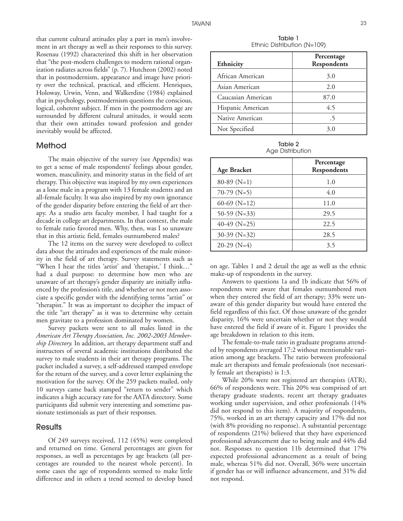that current cultural attitudes play a part in men's involvement in art therapy as well as their responses to this survey. Rosenau (1992) characterized this shift in her observation that "the post-modern challenges to modern rational organization radiates across fields" (p. 7). Hutcheon (2002) noted that in postmodernism, appearance and image have priority over the technical, practical, and efficient. Henriques, Holoway, Urwin, Venn, and Walkerdine (1984) explained that in psychology, postmodernism questions the conscious, logical, coherent subject. If men in the postmodern age are surrounded by different cultural attitudes, it would seem that their own attitudes toward profession and gender inevitably would be affected.

# Method

The main objective of the survey (see Appendix) was to get a sense of male respondents' feelings about gender, women, masculinity, and minority status in the field of art therapy. This objective was inspired by my own experiences as a lone male in a program with 13 female students and an all-female faculty. It was also inspired by my own ignorance of the gender disparity before entering the field of art therapy. As a studio arts faculty member, I had taught for a decade in college art departments. In that context, the male to female ratio favored men. Why, then, was I so unaware that in this artistic field, females outnumbered males?

The 12 items on the survey were developed to collect data about the attitudes and experiences of the male minority in the field of art therapy. Survey statements such as "When I hear the titles 'artist' and 'therapist,' I think…" had a dual purpose: to determine how men who are unaware of art therapy's gender disparity are initially influenced by the profession's title, and whether or not men associate a specific gender with the identifying terms "artist" or "therapist." It was as important to decipher the impact of the title "art therapy" as it was to determine why certain men gravitate to a profession dominated by women.

Survey packets were sent to all males listed in the *American Art Therapy Association, Inc. 2002-2003 Membership Directory.* In addition, art therapy department staff and instructors of several academic institutions distributed the survey to male students in their art therapy programs. The packet included a survey, a self-addressed stamped envelope for the return of the survey, and a cover letter explaining the motivation for the survey. Of the 259 packets mailed, only 10 surveys came back stamped "return to sender" which indicates a high accuracy rate for the AATA directory. Some participants did submit very interesting and sometime passionate testimonials as part of their responses.

#### Results

Of 249 surveys received, 112 (45%) were completed and returned on time. General percentages are given for responses, as well as percentages by age brackets (all percentages are rounded to the nearest whole percent). In some cases the age of respondents seemed to make little difference and in others a trend seemed to develop based

Table 1 Ethnic Distribution (N=109)

| Ethnicity          | Percentage<br>Respondents |
|--------------------|---------------------------|
| African American   | 3.0                       |
| Asian American     | 2.0                       |
| Caucasian American | 87.0                      |
| Hispanic American  | 4.5                       |
| Native American    | .5                        |
| Not Specified      | 3.0                       |

Table 2 Age Distribution

| <b>Age Bracket</b> | Percentage<br>Respondents |
|--------------------|---------------------------|
| $80-89$ (N=1)      | 1.0                       |
| $70-79$ (N=5)      | 4.0                       |
| 60-69 ( $N=12$ )   | 11.0                      |
| 50-59 ( $N=33$ )   | 29.5                      |
| 40-49 ( $N=25$ )   | 22.5                      |
| $30-39$ (N=32)     | 28.5                      |
| $20-29$ (N=4)      | 3.5                       |

on age. Tables 1 and 2 detail the age as well as the ethnic make-up of respondents in the survey.

Answers to questions 1a and 1b indicate that 56% of respondents were aware that females outnumbered men when they entered the field of art therapy; 33% were unaware of this gender disparity but would have entered the field regardless of this fact. Of those unaware of the gender disparity, 16% were uncertain whether or not they would have entered the field if aware of it. Figure 1 provides the age breakdown in relation to this item.

The female-to-male ratio in graduate programs attended by respondents averaged 17:2 without mentionable variation among age brackets. The ratio between professional male art therapists and female professionals (not necessarily female art therapists) is 1:3.

While 20% were not registered art therapists (ATR), 66% of respondents were. This 20% was comprised of art therapy graduate students, recent art therapy graduates working under supervision, and other professionals (14% did not respond to this item). A majority of respondents, 75%, worked in an art therapy capacity and 17% did not (with 8% providing no response). A substantial percentage of respondents (21%) believed that they have experienced professional advancement due to being male and 44% did not. Responses to question 11b determined that 17% expected professional advancement as a result of being male, whereas 51% did not. Overall, 36% were uncertain if gender has or will influence advancement, and 31% did not respond.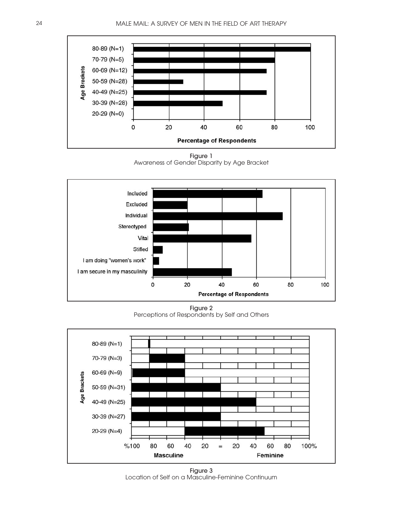

Figure 1 Awareness of Gender Disparity by Age Bracket



Figure 2 Perceptions of Respondents by Self and Others



Figure 3 Location of Self on a Masculine-Feminine Continuum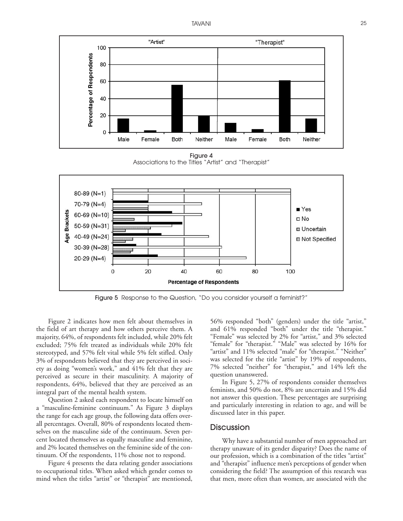

Figure 4 Associations to the Titles "Artist" and "Therapist"



Figure 5 Response to the Question, "Do you consider yourself a feminist?"

Figure 2 indicates how men felt about themselves in the field of art therapy and how others perceive them. A majority, 64%, of respondents felt included, while 20% felt excluded; 75% felt treated as individuals while 20% felt stereotyped, and 57% felt vital while 5% felt stifled. Only 3% of respondents believed that they are perceived in society as doing "women's work," and 41% felt that they are perceived as secure in their masculinity. A majority of respondents, 64%, believed that they are perceived as an integral part of the mental health system.

Question 2 asked each respondent to locate himself on a "masculine-feminine continuum." As Figure 3 displays the range for each age group, the following data offers overall percentages. Overall, 80% of respondents located themselves on the masculine side of the continuum. Seven percent located themselves as equally masculine and feminine, and 2% located themselves on the feminine side of the continuum. Of the respondents, 11% chose not to respond.

Figure 4 presents the data relating gender associations to occupational titles. When asked which gender comes to mind when the titles "artist" or "therapist" are mentioned,

56% responded "both" (genders) under the title "artist," and 61% responded "both" under the title "therapist." "Female" was selected by 2% for "artist," and 3% selected "female" for "therapist." "Male" was selected by 16% for "artist" and 11% selected "male" for "therapist." "Neither" was selected for the title "artist" by 19% of respondents, 7% selected "neither" for "therapist," and 14% left the question unanswered.

In Figure 5, 27% of respondents consider themselves feminists, and 50% do not, 8% are uncertain and 15% did not answer this question. These percentages are surprising and particularly interesting in relation to age, and will be discussed later in this paper.

# **Discussion**

Why have a substantial number of men approached art therapy unaware of its gender disparity? Does the name of our profession, which is a combination of the titles "artist" and "therapist" influence men's perceptions of gender when considering the field? The assumption of this research was that men, more often than women, are associated with the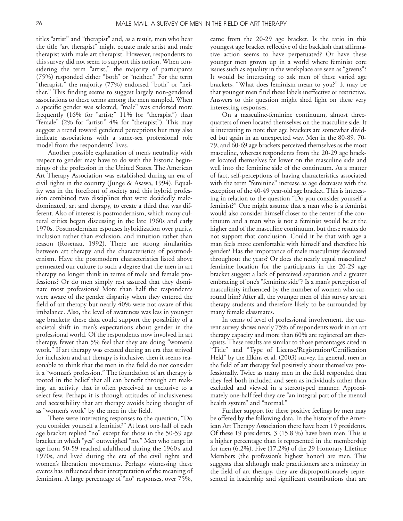titles "artist" and "therapist" and, as a result, men who hear the title "art therapist" might equate male artist and male therapist with male art therapist. However, respondents to this survey did not seem to support this notion. When considering the term "artist," the majority of participants (75%) responded either "both" or "neither." For the term "therapist," the majority (77%) endorsed "both" or "neither." This finding seems to suggest largely non-gendered associations to these terms among the men sampled. When a specific gender was selected, "male" was endorsed more frequently (16% for "artist;" 11% for "therapist") than "female" (2% for "artist;" 4% for "therapist"). This may suggest a trend toward gendered perceptions but may also indicate associations with a same-sex professional role model from the respondents' lives.

Another possible explanation of men's neutrality with respect to gender may have to do with the historic beginnings of the profession in the United States. The American Art Therapy Association was established during an era of civil rights in the country (Junge & Asawa, 1994). Equality was in the forefront of society and this hybrid profession combined two disciplines that were decidedly maledominated, art and therapy, to create a third that was different. Also of interest is postmodernism, which many cultural critics began discussing in the late 1960s and early 1970s. Postmodernism espouses hybridization over purity, inclusion rather than exclusion, and intuition rather than reason (Rosenau, 1992). There are strong similarities between art therapy and the characteristics of postmodernism. Have the postmodern characteristics listed above permeated our culture to such a degree that the men in art therapy no longer think in terms of male and female professions? Or do men simply rest assured that they dominate most professions? More than half the respondents were aware of the gender disparity when they entered the field of art therapy but nearly 40% were not aware of this imbalance. Also, the level of awareness was less in younger age brackets; these data could support the possibility of a societal shift in men's expectations about gender in the professional world. Of the respondents now involved in art therapy, fewer than 5% feel that they are doing "women's work." If art therapy was created during an era that strived for inclusion and art therapy is inclusive, then it seems reasonable to think that the men in the field do not consider it a "woman's profession." The foundation of art therapy is rooted in the belief that all can benefit through art making, an activity that is often perceived as exclusive to a select few. Perhaps it is through attitudes of inclusiveness and accessibility that art therapy avoids being thought of as "women's work" by the men in the field.

There were interesting responses to the question, "Do you consider yourself a feminist?" At least one-half of each age bracket replied "no" except for those in the 50-59 age bracket in which "yes" outweighed "no." Men who range in age from 50-59 reached adulthood during the 1960's and 1970s, and lived during the era of the civil rights and women's liberation movements. Perhaps witnessing these events has influenced their interpretation of the meaning of feminism. A large percentage of "no" responses, over 75%,

came from the 20-29 age bracket. Is the ratio in this youngest age bracket reflective of the backlash that affirmative action seems to have perpetuated? Or have these younger men grown up in a world where feminist core issues such as equality in the workplace are seen as "givens"? It would be interesting to ask men of these varied age brackets, "What does feminism mean to you?" It may be that younger men find these labels ineffective or restrictive. Answers to this question might shed light on these very interesting responses.

On a masculine-feminine continuum, almost threequarters of men located themselves on the masculine side. It is interesting to note that age brackets are somewhat divided but again in an unexpected way. Men in the 80-89, 70- 79, and 60-69 age brackets perceived themselves as the most masculine, whereas respondents from the 20-29 age bracket located themselves far lower on the masculine side and well into the feminine side of the continuum. As a matter of fact, self-perceptions of having characteristics associated with the term "feminine" increase as age decreases with the exception of the 40-49 year-old age bracket. This is interesting in relation to the question "Do you consider yourself a feminist?" One might assume that a man who is a feminist would also consider himself closer to the center of the continuum and a man who is not a feminist would be at the higher end of the masculine continuum, but these results do not support that conclusion. Could it be that with age a man feels more comfortable with himself and therefore his gender? Has the importance of male masculinity decreased throughout the years? Or does the nearly equal masculine/ feminine location for the participants in the 20-29 age bracket suggest a lack of perceived separation and a greater embracing of one's "feminine side"? Is a man's perception of masculinity influenced by the number of women who surround him? After all, the younger men of this survey are art therapy students and therefore likely to be surrounded by many female classmates.

In terms of level of professional involvement, the current survey shows nearly 75% of respondents work in an art therapy capacity and more than 60% are registered art therapists. These results are similar to those percentages cited in "Title" and "Type of License/Registration/Certification Held" by the Elkins et al. (2003) survey. In general, men in the field of art therapy feel positively about themselves professionally. Twice as many men in the field responded that they feel both included and seen as individuals rather than excluded and viewed in a stereotyped manner. Approximately one-half feel they are "an integral part of the mental health system" and "normal."

Further support for these positive feelings by men may be offered by the following data. In the history of the American Art Therapy Association there have been 19 presidents. Of these 19 presidents, 3 (15.8 %) have been men. This is a higher percentage than is represented in the membership for men (6.2%). Five (17.2%) of the 29 Honorary Lifetime Members (the profession's highest honor) are men. This suggests that although male practitioners are a minority in the field of art therapy, they are disproportionately represented in leadership and significant contributions that are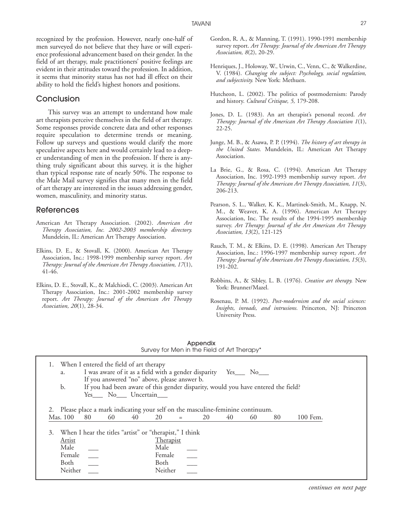# Conclusion

This survey was an attempt to understand how male art therapists perceive themselves in the field of art therapy. Some responses provide concrete data and other responses require speculation to determine trends or meaning. Follow up surveys and questions would clarify the more speculative aspects here and would certainly lead to a deeper understanding of men in the profession. If there is anything truly significant about this survey, it is the higher than typical response rate of nearly 50%. The response to the Male Mail survey signifies that many men in the field of art therapy are interested in the issues addressing gender, women, masculinity, and minority status.

#### References

- American Art Therapy Association. (2002). *American Art Therapy Association, Inc. 2002-2003 membership directory.* Mundelein, IL: American Art Therapy Association.
- Elkins, D. E., & Stovall, K. (2000). American Art Therapy Association, Inc.: 1998-1999 membership survey report. *Art Therapy: Journal of the American Art Therapy Association, 17*(1), 41-46.
- Elkins, D. E., Stovall, K., & Malchiodi, C. (2003). American Art Therapy Association, Inc.: 2001-2002 membership survey report. *Art Therapy: Journal of the American Art Therapy Association, 20*(1), 28-34.
- Gordon, R. A., & Manning, T. (1991). 1990-1991 membership survey report. *Art Therapy: Journal of the American Art Therapy Association, 8*(2), 20-29.
- Henriques, J., Holoway, W., Urwin, C., Venn, C., & Walkerdine, V. (1984). *Changing the subject: Psychology, social regulation, and subjectivity.* New York: Methuen.
- Hutcheon, L. (2002). The politics of postmodernism: Parody and history. *Cultural Critique, 5,* 179-208.
- Jones, D. L. (1983). An art therapist's personal record. *Art Therapy: Journal of the American Art Therapy Association 1*(1), 22-25.
- Junge, M. B., & Asawa, P. P. (1994). *The history of art therapy in the United States.* Mundelein, IL: American Art Therapy Association.
- La Brie, G., & Rosa, C. (1994). American Art Therapy Association, Inc. 1992-1993 membership survey report. *Art Therapy: Journal of the American Art Therapy Association, 11*(3), 206-213.
- Pearson, S. L., Walker, K. K., Martinek-Smith, M., Knapp, N. M., & Weaver, K. A. (1996). American Art Therapy Association, Inc. The results of the 1994-1995 membership survey. *Art Therapy: Journal of the Art American Art Therapy Association, 13*(2), 121-125
- Rauch, T. M., & Elkins, D. E. (1998). American Art Therapy Association, Inc.: 1996-1997 membership survey report. *Art Therapy: Journal of the American Art Therapy Association, 15*(3), 191-202.
- Robbins, A., & Sibley, L. B. (1976). *Creative art therapy.* New York: Brunner/Mazel.
- Rosenau, P. M. (1992). *Post-modernism and the social sciences: Insights, inroads, and intrusions.* Princeton, NJ: Princeton University Press.

|                                                                                                    |                                           |                                                             |    |                                                               |                 | Appendix<br>Survey for Men in the Field of Art Therapy*                                                                                                |    |    |    |          |  |
|----------------------------------------------------------------------------------------------------|-------------------------------------------|-------------------------------------------------------------|----|---------------------------------------------------------------|-----------------|--------------------------------------------------------------------------------------------------------------------------------------------------------|----|----|----|----------|--|
| 1.<br>a.<br>b.                                                                                     |                                           | When I entered the field of art therapy<br>Yes No Uncertain |    | If you answered "no" above, please answer b.                  |                 | I was aware of it as a field with a gender disparity Yes___ No___<br>If you had been aware of this gender disparity, would you have entered the field? |    |    |    |          |  |
| 2. Please place a mark indicating your self on the masculine-feminine continuum.<br>Mas. 100<br>3. | 80                                        | 60                                                          | 40 | 20<br>When I hear the titles "artist" or "therapist," I think |                 | 20                                                                                                                                                     | 40 | 60 | 80 | 100 Fem. |  |
| <b>Artist</b><br>Male<br>Female<br>Both<br>Neither                                                 | $\overline{\phantom{a}}$<br>$\frac{1}{1}$ |                                                             |    | <b>Therapist</b><br>Male<br>Female<br>Both<br>Neither         | $\frac{1}{100}$ |                                                                                                                                                        |    |    |    |          |  |

|                                             | Appendix |  |
|---------------------------------------------|----------|--|
| Survey for Men in the Field of Art Therapy* |          |  |